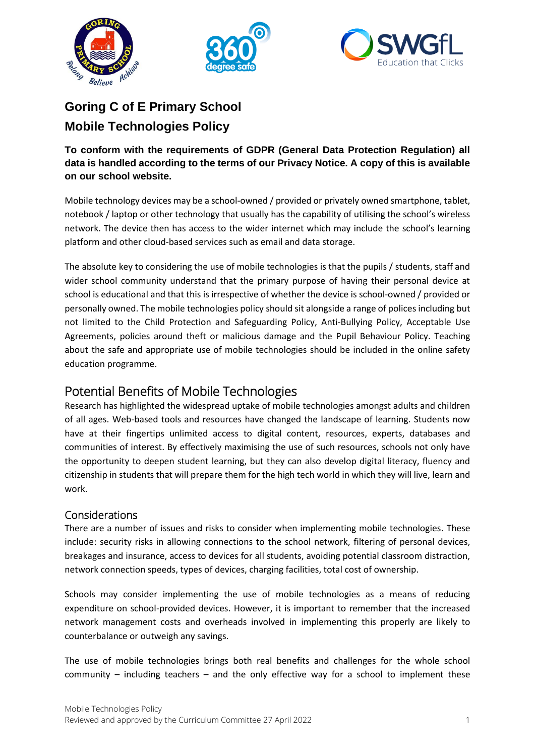





## **Goring C of E Primary School Mobile Technologies Policy**

**To conform with the requirements of GDPR (General Data Protection Regulation) all data is handled according to the terms of our Privacy Notice. A copy of this is available on our school website.** 

Mobile technology devices may be a school-owned / provided or privately owned smartphone, tablet, notebook / laptop or other technology that usually has the capability of utilising the school's wireless network. The device then has access to the wider internet which may include the school's learning platform and other cloud-based services such as email and data storage.

The absolute key to considering the use of mobile technologies is that the pupils / students, staff and wider school community understand that the primary purpose of having their personal device at school is educational and that this is irrespective of whether the device is school-owned / provided or personally owned. The mobile technologies policy should sit alongside a range of polices including but not limited to the Child Protection and Safeguarding Policy, Anti-Bullying Policy, Acceptable Use Agreements, policies around theft or malicious damage and the Pupil Behaviour Policy. Teaching about the safe and appropriate use of mobile technologies should be included in the online safety education programme.

## Potential Benefits of Mobile Technologies

Research has highlighted the widespread uptake of mobile technologies amongst adults and children of all ages. Web-based tools and resources have changed the landscape of learning. Students now have at their fingertips unlimited access to digital content, resources, experts, databases and communities of interest. By effectively maximising the use of such resources, schools not only have the opportunity to deepen student learning, but they can also develop digital literacy, fluency and citizenship in students that will prepare them for the high tech world in which they will live, learn and work.

## Considerations

There are a number of issues and risks to consider when implementing mobile technologies. These include: security risks in allowing connections to the school network, filtering of personal devices, breakages and insurance, access to devices for all students, avoiding potential classroom distraction, network connection speeds, types of devices, charging facilities, total cost of ownership.

Schools may consider implementing the use of mobile technologies as a means of reducing expenditure on school-provided devices. However, it is important to remember that the increased network management costs and overheads involved in implementing this properly are likely to counterbalance or outweigh any savings.

The use of mobile technologies brings both real benefits and challenges for the whole school community – including teachers – and the only effective way for a school to implement these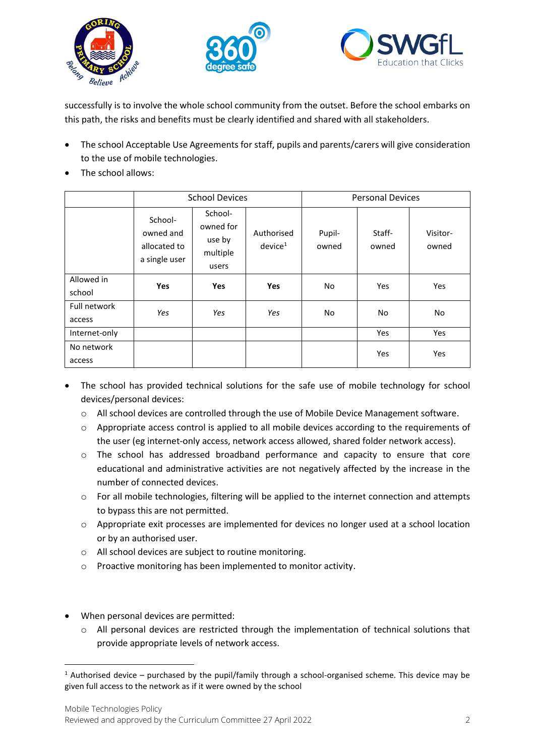





successfully is to involve the whole school community from the outset. Before the school embarks on this path, the risks and benefits must be clearly identified and shared with all stakeholders.

- The school Acceptable Use Agreements for staff, pupils and parents/carers will give consideration to the use of mobile technologies.
- The school allows:

|                        | <b>School Devices</b>                                 |                                                     |                                   | <b>Personal Devices</b> |                 |                   |
|------------------------|-------------------------------------------------------|-----------------------------------------------------|-----------------------------------|-------------------------|-----------------|-------------------|
|                        | School-<br>owned and<br>allocated to<br>a single user | School-<br>owned for<br>use by<br>multiple<br>users | Authorised<br>device <sup>1</sup> | Pupil-<br>owned         | Staff-<br>owned | Visitor-<br>owned |
| Allowed in<br>school   | Yes                                                   | <b>Yes</b>                                          | <b>Yes</b>                        | No.                     | Yes             | Yes               |
| Full network<br>access | Yes                                                   | Yes                                                 | Yes                               | No                      | <b>No</b>       | No                |
| Internet-only          |                                                       |                                                     |                                   |                         | Yes             | Yes               |
| No network<br>access   |                                                       |                                                     |                                   |                         | Yes             | Yes               |

- The school has provided technical solutions for the safe use of mobile technology for school devices/personal devices:
	- o All school devices are controlled through the use of Mobile Device Management software.
	- o Appropriate access control is applied to all mobile devices according to the requirements of the user (eg internet-only access, network access allowed, shared folder network access).
	- o The school has addressed broadband performance and capacity to ensure that core educational and administrative activities are not negatively affected by the increase in the number of connected devices.
	- $\circ$  For all mobile technologies, filtering will be applied to the internet connection and attempts to bypass this are not permitted.
	- o Appropriate exit processes are implemented for devices no longer used at a school location or by an authorised user.
	- o All school devices are subject to routine monitoring.
	- o Proactive monitoring has been implemented to monitor activity.
- When personal devices are permitted:
	- $\circ$  All personal devices are restricted through the implementation of technical solutions that provide appropriate levels of network access.

<sup>&</sup>lt;sup>1</sup> Authorised device – purchased by the pupil/family through a school-organised scheme. This device may be given full access to the network as if it were owned by the school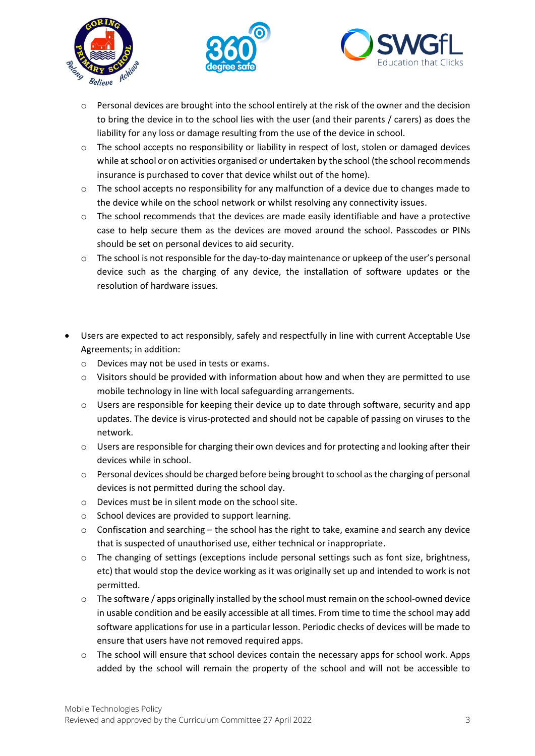





- $\circ$  Personal devices are brought into the school entirely at the risk of the owner and the decision to bring the device in to the school lies with the user (and their parents / carers) as does the liability for any loss or damage resulting from the use of the device in school.
- o The school accepts no responsibility or liability in respect of lost, stolen or damaged devices while at school or on activities organised or undertaken by the school (the school recommends insurance is purchased to cover that device whilst out of the home).
- o The school accepts no responsibility for any malfunction of a device due to changes made to the device while on the school network or whilst resolving any connectivity issues.
- $\circ$  The school recommends that the devices are made easily identifiable and have a protective case to help secure them as the devices are moved around the school. Passcodes or PINs should be set on personal devices to aid security.
- o The school is not responsible for the day-to-day maintenance or upkeep of the user's personal device such as the charging of any device, the installation of software updates or the resolution of hardware issues.
- Users are expected to act responsibly, safely and respectfully in line with current Acceptable Use Agreements; in addition:
	- o Devices may not be used in tests or exams.
	- $\circ$  Visitors should be provided with information about how and when they are permitted to use mobile technology in line with local safeguarding arrangements.
	- $\circ$  Users are responsible for keeping their device up to date through software, security and app updates. The device is virus-protected and should not be capable of passing on viruses to the network.
	- o Users are responsible for charging their own devices and for protecting and looking after their devices while in school.
	- $\circ$  Personal devices should be charged before being brought to school as the charging of personal devices is not permitted during the school day.
	- $\circ$  Devices must be in silent mode on the school site.
	- o School devices are provided to support learning.
	- $\circ$  Confiscation and searching the school has the right to take, examine and search any device that is suspected of unauthorised use, either technical or inappropriate.
	- o The changing of settings (exceptions include personal settings such as font size, brightness, etc) that would stop the device working as it was originally set up and intended to work is not permitted.
	- o The software / apps originally installed by the school must remain on the school-owned device in usable condition and be easily accessible at all times. From time to time the school may add software applications for use in a particular lesson. Periodic checks of devices will be made to ensure that users have not removed required apps.
	- $\circ$  The school will ensure that school devices contain the necessary apps for school work. Apps added by the school will remain the property of the school and will not be accessible to